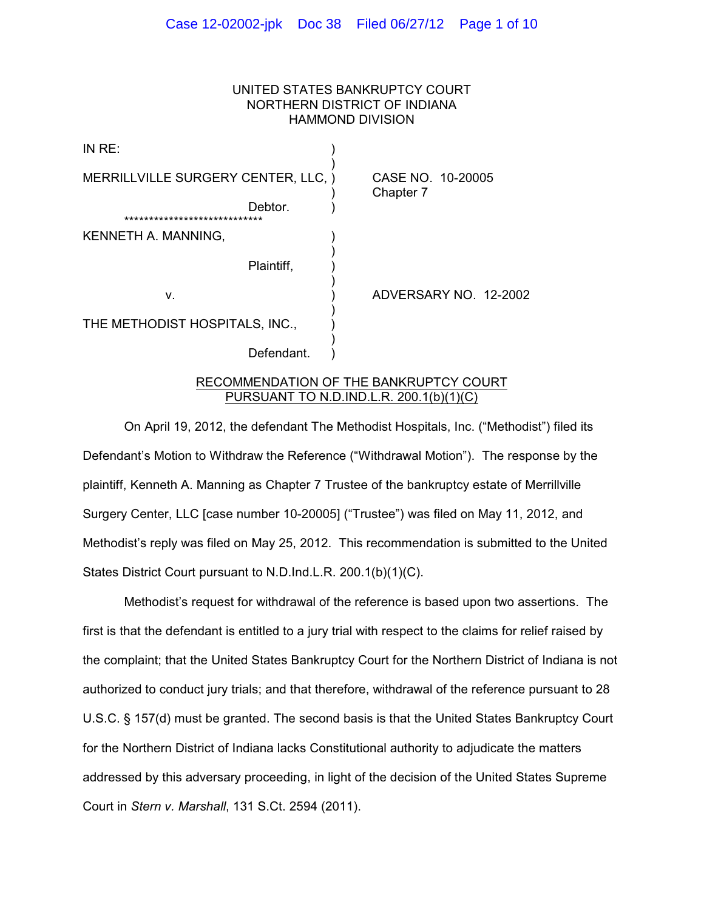## UNITED STATES BANKRUPTCY COURT NORTHERN DISTRICT OF INDIANA HAMMOND DIVISION

| MERRILLVILLE SURGERY CENTER, LLC, )<br>CASE NO. 10-20005<br>Chapter 7 |
|-----------------------------------------------------------------------|
|                                                                       |
|                                                                       |
|                                                                       |
| ADVERSARY NO. 12-2002                                                 |
|                                                                       |
|                                                                       |
|                                                                       |

### RECOMMENDATION OF THE BANKRUPTCY COURT PURSUANT TO N.D.IND.L.R. 200.1(b)(1)(C)

On April 19, 2012, the defendant The Methodist Hospitals, Inc. ("Methodist") filed its Defendant's Motion to Withdraw the Reference ("Withdrawal Motion"). The response by the plaintiff, Kenneth A. Manning as Chapter 7 Trustee of the bankruptcy estate of Merrillville Surgery Center, LLC [case number 10-20005] ("Trustee") was filed on May 11, 2012, and Methodist's reply was filed on May 25, 2012. This recommendation is submitted to the United States District Court pursuant to N.D.Ind.L.R. 200.1(b)(1)(C).

Methodist's request for withdrawal of the reference is based upon two assertions. The first is that the defendant is entitled to a jury trial with respect to the claims for relief raised by the complaint; that the United States Bankruptcy Court for the Northern District of Indiana is not authorized to conduct jury trials; and that therefore, withdrawal of the reference pursuant to 28 U.S.C. § 157(d) must be granted. The second basis is that the United States Bankruptcy Court for the Northern District of Indiana lacks Constitutional authority to adjudicate the matters addressed by this adversary proceeding, in light of the decision of the United States Supreme Court in *Stern v. Marshall*, 131 S.Ct. 2594 (2011).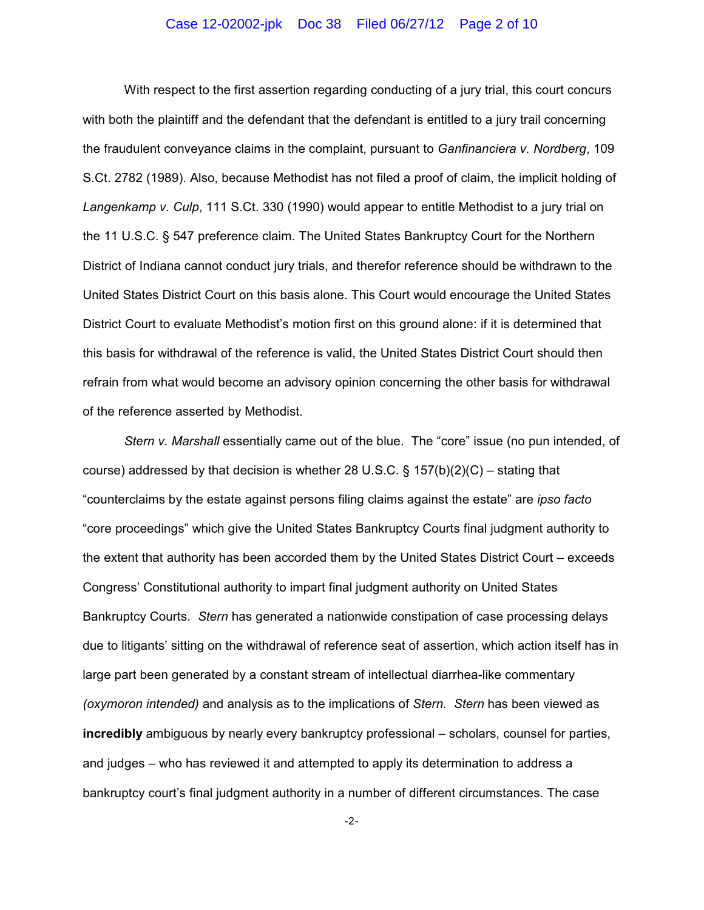### Case 12-02002-jpk Doc 38 Filed 06/27/12 Page 2 of 10

With respect to the first assertion regarding conducting of a jury trial, this court concurs with both the plaintiff and the defendant that the defendant is entitled to a jury trail concerning the fraudulent conveyance claims in the complaint, pursuant to *Ganfinanciera v. Nordberg*, 109 S.Ct. 2782 (1989). Also, because Methodist has not filed a proof of claim, the implicit holding of *Langenkamp v. Culp*, 111 S.Ct. 330 (1990) would appear to entitle Methodist to a jury trial on the 11 U.S.C. § 547 preference claim. The United States Bankruptcy Court for the Northern District of Indiana cannot conduct jury trials, and therefor reference should be withdrawn to the United States District Court on this basis alone. This Court would encourage the United States District Court to evaluate Methodist's motion first on this ground alone: if it is determined that this basis for withdrawal of the reference is valid, the United States District Court should then refrain from what would become an advisory opinion concerning the other basis for withdrawal of the reference asserted by Methodist.

*Stern v. Marshall* essentially came out of the blue. The "core" issue (no pun intended, of course) addressed by that decision is whether 28 U.S.C. § 157(b)(2)(C) – stating that "counterclaims by the estate against persons filing claims against the estate" are *ipso facto* "core proceedings" which give the United States Bankruptcy Courts final judgment authority to the extent that authority has been accorded them by the United States District Court – exceeds Congress' Constitutional authority to impart final judgment authority on United States Bankruptcy Courts. *Stern* has generated a nationwide constipation of case processing delays due to litigants' sitting on the withdrawal of reference seat of assertion, which action itself has in large part been generated by a constant stream of intellectual diarrhea-like commentary *(oxymoron intended)* and analysis as to the implications of *Stern. Stern* has been viewed as **incredibly** ambiguous by nearly every bankruptcy professional – scholars, counsel for parties, and judges – who has reviewed it and attempted to apply its determination to address a bankruptcy court's final judgment authority in a number of different circumstances. The case

-2-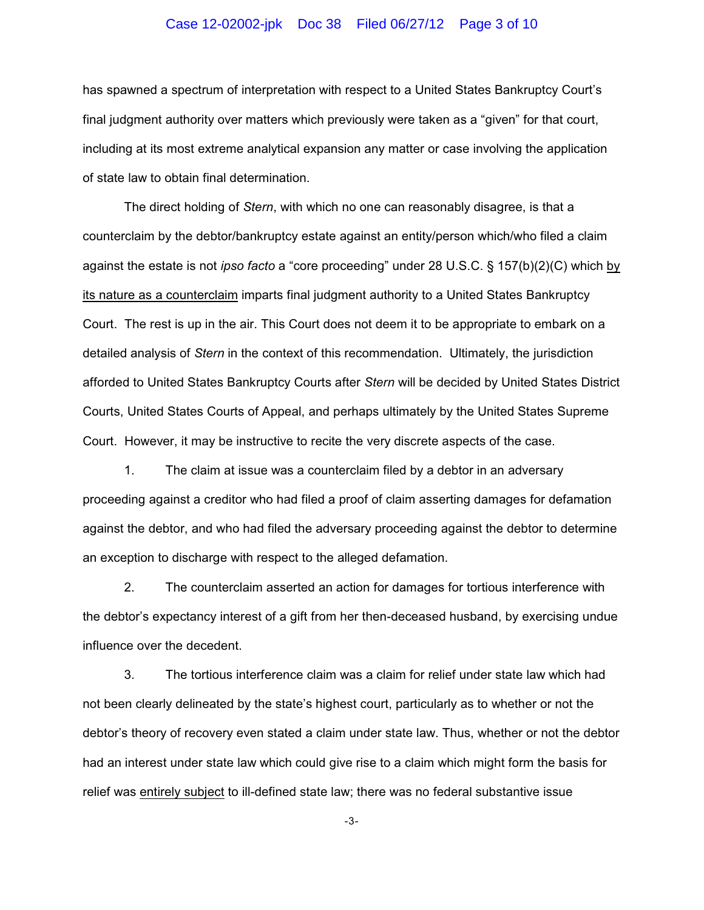### Case 12-02002-jpk Doc 38 Filed 06/27/12 Page 3 of 10

has spawned a spectrum of interpretation with respect to a United States Bankruptcy Court's final judgment authority over matters which previously were taken as a "given" for that court, including at its most extreme analytical expansion any matter or case involving the application of state law to obtain final determination.

The direct holding of *Stern*, with which no one can reasonably disagree, is that a counterclaim by the debtor/bankruptcy estate against an entity/person which/who filed a claim against the estate is not *ipso facto* a "core proceeding" under 28 U.S.C. § 157(b)(2)(C) which by its nature as a counterclaim imparts final judgment authority to a United States Bankruptcy Court. The rest is up in the air. This Court does not deem it to be appropriate to embark on a detailed analysis of *Stern* in the context of this recommendation. Ultimately, the jurisdiction afforded to United States Bankruptcy Courts after *Stern* will be decided by United States District Courts, United States Courts of Appeal, and perhaps ultimately by the United States Supreme Court. However, it may be instructive to recite the very discrete aspects of the case.

1. The claim at issue was a counterclaim filed by a debtor in an adversary proceeding against a creditor who had filed a proof of claim asserting damages for defamation against the debtor, and who had filed the adversary proceeding against the debtor to determine an exception to discharge with respect to the alleged defamation.

2. The counterclaim asserted an action for damages for tortious interference with the debtor's expectancy interest of a gift from her then-deceased husband, by exercising undue influence over the decedent.

3. The tortious interference claim was a claim for relief under state law which had not been clearly delineated by the state's highest court, particularly as to whether or not the debtor's theory of recovery even stated a claim under state law. Thus, whether or not the debtor had an interest under state law which could give rise to a claim which might form the basis for relief was entirely subject to ill-defined state law; there was no federal substantive issue

-3-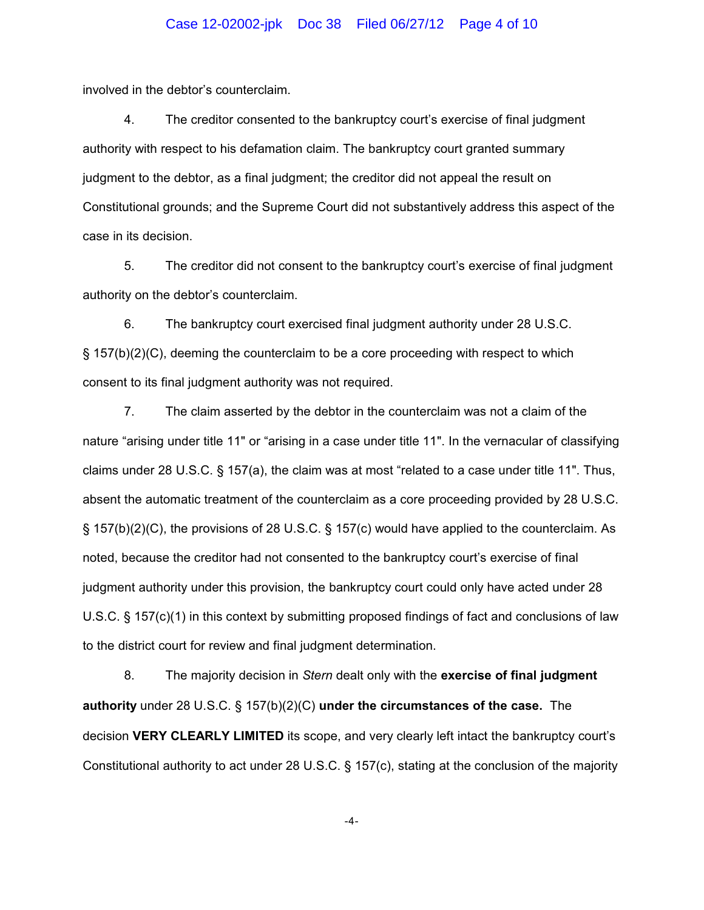### Case 12-02002-jpk Doc 38 Filed 06/27/12 Page 4 of 10

involved in the debtor's counterclaim.

4. The creditor consented to the bankruptcy court's exercise of final judgment authority with respect to his defamation claim. The bankruptcy court granted summary judgment to the debtor, as a final judgment; the creditor did not appeal the result on Constitutional grounds; and the Supreme Court did not substantively address this aspect of the case in its decision.

5. The creditor did not consent to the bankruptcy court's exercise of final judgment authority on the debtor's counterclaim.

6. The bankruptcy court exercised final judgment authority under 28 U.S.C. § 157(b)(2)(C), deeming the counterclaim to be a core proceeding with respect to which consent to its final judgment authority was not required.

7. The claim asserted by the debtor in the counterclaim was not a claim of the nature "arising under title 11" or "arising in a case under title 11". In the vernacular of classifying claims under 28 U.S.C. § 157(a), the claim was at most "related to a case under title 11". Thus, absent the automatic treatment of the counterclaim as a core proceeding provided by 28 U.S.C. § 157(b)(2)(C), the provisions of 28 U.S.C. § 157(c) would have applied to the counterclaim. As noted, because the creditor had not consented to the bankruptcy court's exercise of final judgment authority under this provision, the bankruptcy court could only have acted under 28 U.S.C. § 157(c)(1) in this context by submitting proposed findings of fact and conclusions of law to the district court for review and final judgment determination.

8. The majority decision in *Stern* dealt only with the **exercise of final judgment authority** under 28 U.S.C. § 157(b)(2)(C) **under the circumstances of the case.** The decision **VERY CLEARLY LIMITED** its scope, and very clearly left intact the bankruptcy court's Constitutional authority to act under 28 U.S.C. § 157(c), stating at the conclusion of the majority

-4-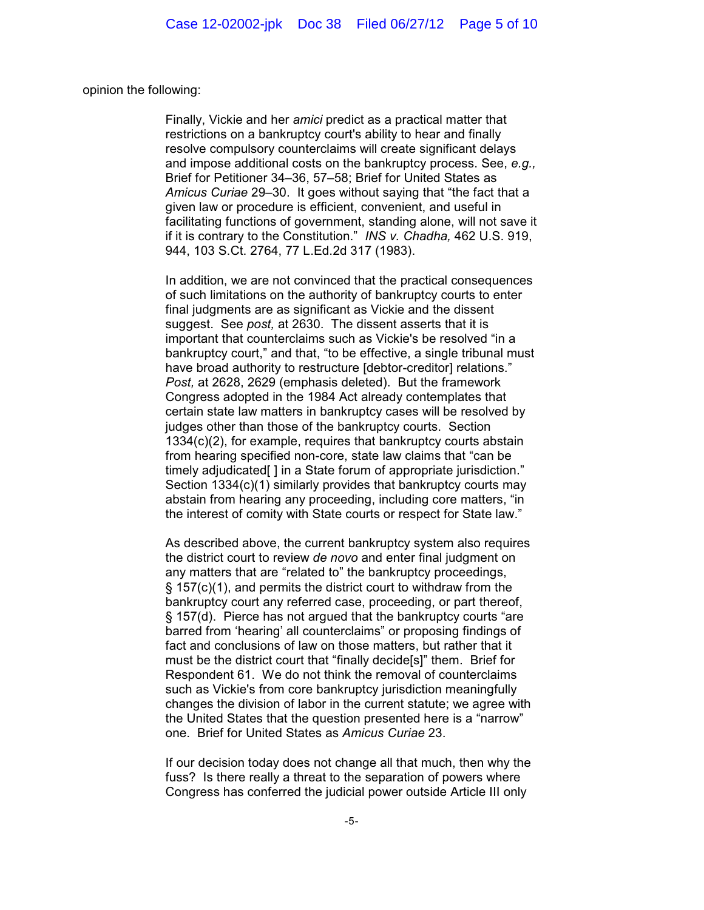opinion the following:

Finally, Vickie and her *amici* predict as a practical matter that restrictions on a bankruptcy court's ability to hear and finally resolve compulsory counterclaims will create significant delays and impose additional costs on the bankruptcy process. See, *e.g.,* Brief for Petitioner 34–36, 57–58; Brief for United States as *Amicus Curiae* 29–30. It goes without saying that "the fact that a given law or procedure is efficient, convenient, and useful in facilitating functions of government, standing alone, will not save it if it is contrary to the Constitution." *INS v. Chadha,* 462 U.S. 919, 944, 103 S.Ct. 2764, 77 L.Ed.2d 317 (1983).

In addition, we are not convinced that the practical consequences of such limitations on the authority of bankruptcy courts to enter final judgments are as significant as Vickie and the dissent suggest. See *post,* at 2630. The dissent asserts that it is important that counterclaims such as Vickie's be resolved "in a bankruptcy court," and that, "to be effective, a single tribunal must have broad authority to restructure [debtor-creditor] relations." *Post,* at 2628, 2629 (emphasis deleted). But the framework Congress adopted in the 1984 Act already contemplates that certain state law matters in bankruptcy cases will be resolved by judges other than those of the bankruptcy courts. Section 1334(c)(2), for example, requires that bankruptcy courts abstain from hearing specified non-core, state law claims that "can be timely adjudicated [ ] in a State forum of appropriate jurisdiction." Section 1334(c)(1) similarly provides that bankruptcy courts may abstain from hearing any proceeding, including core matters, "in the interest of comity with State courts or respect for State law."

As described above, the current bankruptcy system also requires the district court to review *de novo* and enter final judgment on any matters that are "related to" the bankruptcy proceedings, § 157(c)(1), and permits the district court to withdraw from the bankruptcy court any referred case, proceeding, or part thereof, § 157(d). Pierce has not argued that the bankruptcy courts "are barred from 'hearing' all counterclaims" or proposing findings of fact and conclusions of law on those matters, but rather that it must be the district court that "finally decide[s]" them. Brief for Respondent 61. We do not think the removal of counterclaims such as Vickie's from core bankruptcy jurisdiction meaningfully changes the division of labor in the current statute; we agree with the United States that the question presented here is a "narrow" one. Brief for United States as *Amicus Curiae* 23.

If our decision today does not change all that much, then why the fuss? Is there really a threat to the separation of powers where Congress has conferred the judicial power outside Article III only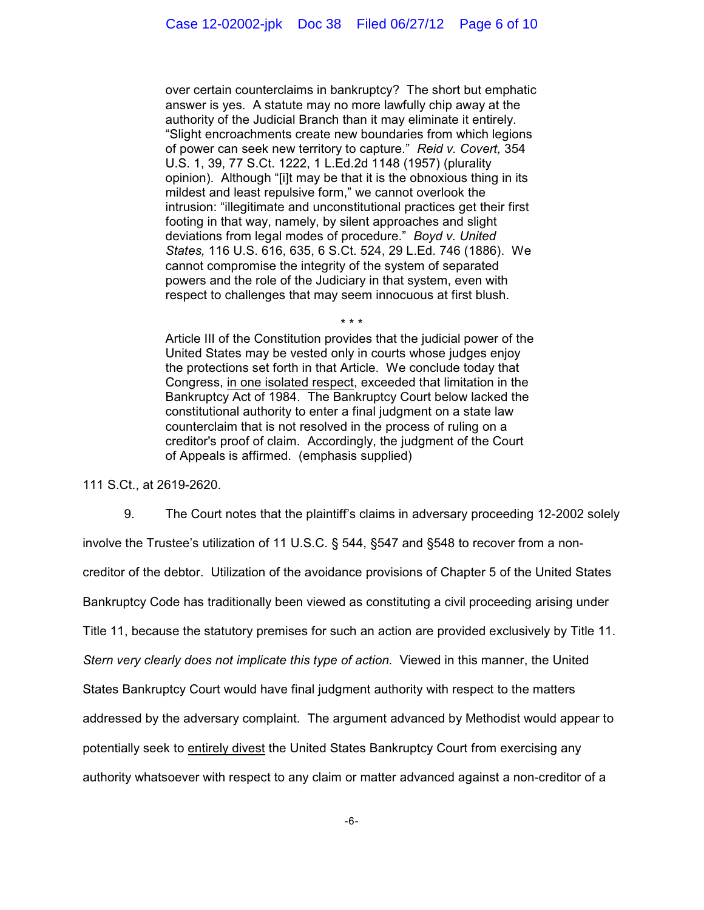over certain counterclaims in bankruptcy? The short but emphatic answer is yes. A statute may no more lawfully chip away at the authority of the Judicial Branch than it may eliminate it entirely. "Slight encroachments create new boundaries from which legions of power can seek new territory to capture." *Reid v. Covert,* 354 U.S. 1, 39, 77 S.Ct. 1222, 1 L.Ed.2d 1148 (1957) (plurality opinion). Although "[i]t may be that it is the obnoxious thing in its mildest and least repulsive form," we cannot overlook the intrusion: "illegitimate and unconstitutional practices get their first footing in that way, namely, by silent approaches and slight deviations from legal modes of procedure." *Boyd v. United States,* 116 U.S. 616, 635, 6 S.Ct. 524, 29 L.Ed. 746 (1886). We cannot compromise the integrity of the system of separated powers and the role of the Judiciary in that system, even with respect to challenges that may seem innocuous at first blush.

\* \* \*

Article III of the Constitution provides that the judicial power of the United States may be vested only in courts whose judges enjoy the protections set forth in that Article. We conclude today that Congress, in one isolated respect, exceeded that limitation in the Bankruptcy Act of 1984. The Bankruptcy Court below lacked the constitutional authority to enter a final judgment on a state law counterclaim that is not resolved in the process of ruling on a creditor's proof of claim. Accordingly, the judgment of the Court of Appeals is affirmed. (emphasis supplied)

111 S.Ct., at 2619-2620.

9. The Court notes that the plaintiff's claims in adversary proceeding 12-2002 solely

involve the Trustee's utilization of 11 U.S.C. § 544, §547 and §548 to recover from a non-

creditor of the debtor. Utilization of the avoidance provisions of Chapter 5 of the United States

Bankruptcy Code has traditionally been viewed as constituting a civil proceeding arising under

Title 11, because the statutory premises for such an action are provided exclusively by Title 11.

*Stern very clearly does not implicate this type of action.* Viewed in this manner, the United

States Bankruptcy Court would have final judgment authority with respect to the matters

addressed by the adversary complaint. The argument advanced by Methodist would appear to

potentially seek to entirely divest the United States Bankruptcy Court from exercising any

authority whatsoever with respect to any claim or matter advanced against a non-creditor of a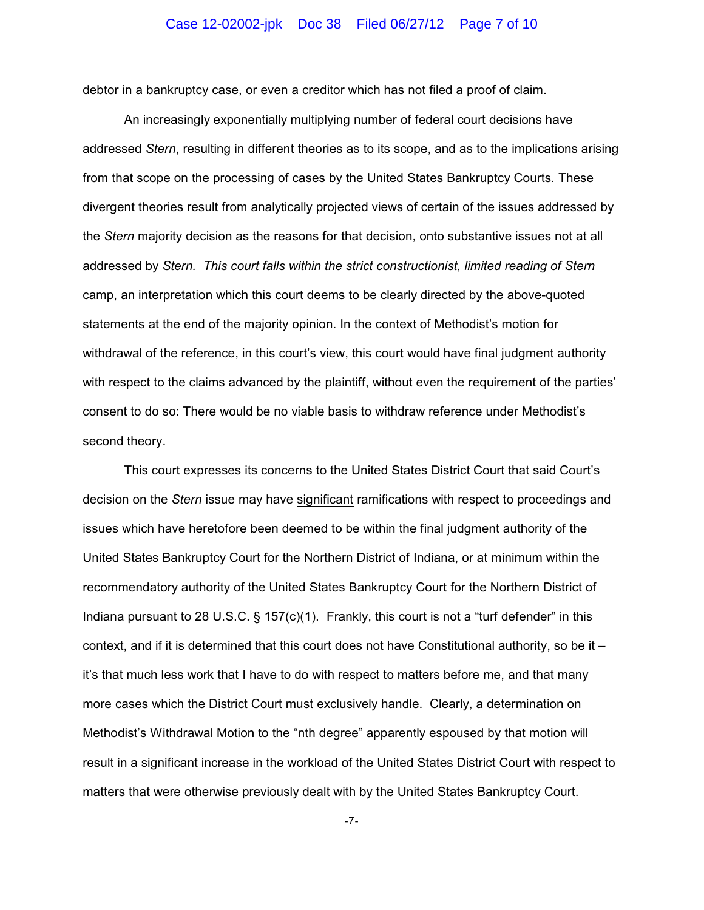### Case 12-02002-jpk Doc 38 Filed 06/27/12 Page 7 of 10

debtor in a bankruptcy case, or even a creditor which has not filed a proof of claim.

An increasingly exponentially multiplying number of federal court decisions have addressed *Stern*, resulting in different theories as to its scope, and as to the implications arising from that scope on the processing of cases by the United States Bankruptcy Courts. These divergent theories result from analytically projected views of certain of the issues addressed by the *Stern* majority decision as the reasons for that decision, onto substantive issues not at all addressed by *Stern. This court falls within the strict constructionist, limited reading of Stern* camp, an interpretation which this court deems to be clearly directed by the above-quoted statements at the end of the majority opinion. In the context of Methodist's motion for withdrawal of the reference, in this court's view, this court would have final judgment authority with respect to the claims advanced by the plaintiff, without even the requirement of the parties' consent to do so: There would be no viable basis to withdraw reference under Methodist's second theory.

This court expresses its concerns to the United States District Court that said Court's decision on the *Stern* issue may have significant ramifications with respect to proceedings and issues which have heretofore been deemed to be within the final judgment authority of the United States Bankruptcy Court for the Northern District of Indiana, or at minimum within the recommendatory authority of the United States Bankruptcy Court for the Northern District of Indiana pursuant to 28 U.S.C. § 157(c)(1). Frankly, this court is not a "turf defender" in this context, and if it is determined that this court does not have Constitutional authority, so be it  $$ it's that much less work that I have to do with respect to matters before me, and that many more cases which the District Court must exclusively handle. Clearly, a determination on Methodist's Withdrawal Motion to the "nth degree" apparently espoused by that motion will result in a significant increase in the workload of the United States District Court with respect to matters that were otherwise previously dealt with by the United States Bankruptcy Court.

-7-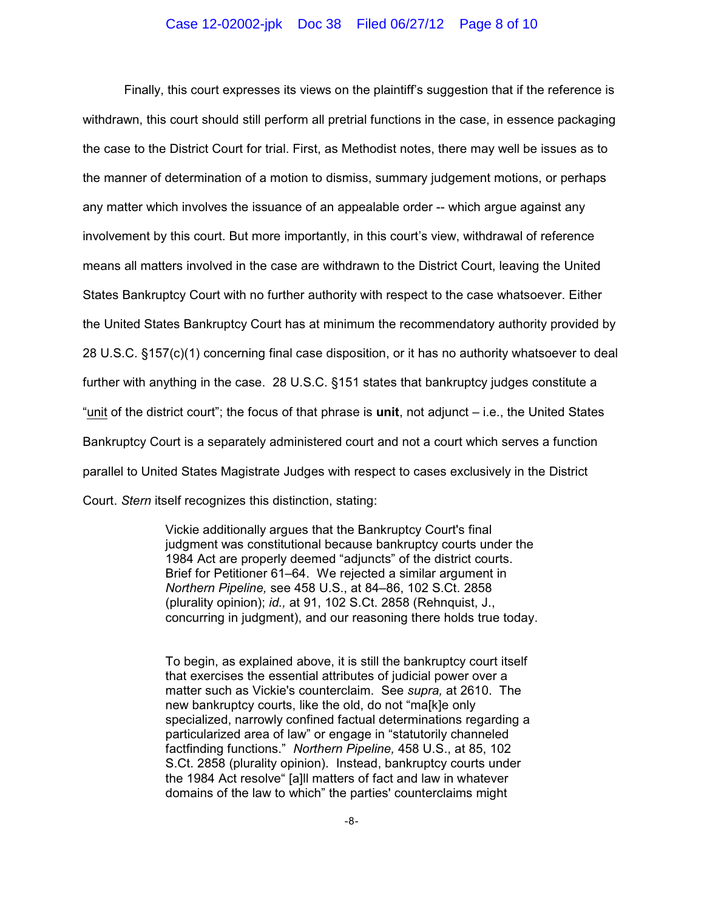### Case 12-02002-jpk Doc 38 Filed 06/27/12 Page 8 of 10

Finally, this court expresses its views on the plaintiff's suggestion that if the reference is withdrawn, this court should still perform all pretrial functions in the case, in essence packaging the case to the District Court for trial. First, as Methodist notes, there may well be issues as to the manner of determination of a motion to dismiss, summary judgement motions, or perhaps any matter which involves the issuance of an appealable order -- which argue against any involvement by this court. But more importantly, in this court's view, withdrawal of reference means all matters involved in the case are withdrawn to the District Court, leaving the United States Bankruptcy Court with no further authority with respect to the case whatsoever. Either the United States Bankruptcy Court has at minimum the recommendatory authority provided by 28 U.S.C. §157(c)(1) concerning final case disposition, or it has no authority whatsoever to deal further with anything in the case. 28 U.S.C. §151 states that bankruptcy judges constitute a "unit of the district court"; the focus of that phrase is **unit**, not adjunct – i.e., the United States Bankruptcy Court is a separately administered court and not a court which serves a function parallel to United States Magistrate Judges with respect to cases exclusively in the District Court. *Stern* itself recognizes this distinction, stating:

> Vickie additionally argues that the Bankruptcy Court's final judgment was constitutional because bankruptcy courts under the 1984 Act are properly deemed "adjuncts" of the district courts. Brief for Petitioner 61–64. We rejected a similar argument in *Northern Pipeline,* see 458 U.S., at 84–86, 102 S.Ct. 2858 (plurality opinion); *id.,* at 91, 102 S.Ct. 2858 (Rehnquist, J., concurring in judgment), and our reasoning there holds true today.

To begin, as explained above, it is still the bankruptcy court itself that exercises the essential attributes of judicial power over a matter such as Vickie's counterclaim. See *supra,* at 2610. The new bankruptcy courts, like the old, do not "ma[k]e only specialized, narrowly confined factual determinations regarding a particularized area of law" or engage in "statutorily channeled factfinding functions." *Northern Pipeline,* 458 U.S., at 85, 102 S.Ct. 2858 (plurality opinion). Instead, bankruptcy courts under the 1984 Act resolve" [a]ll matters of fact and law in whatever domains of the law to which" the parties' counterclaims might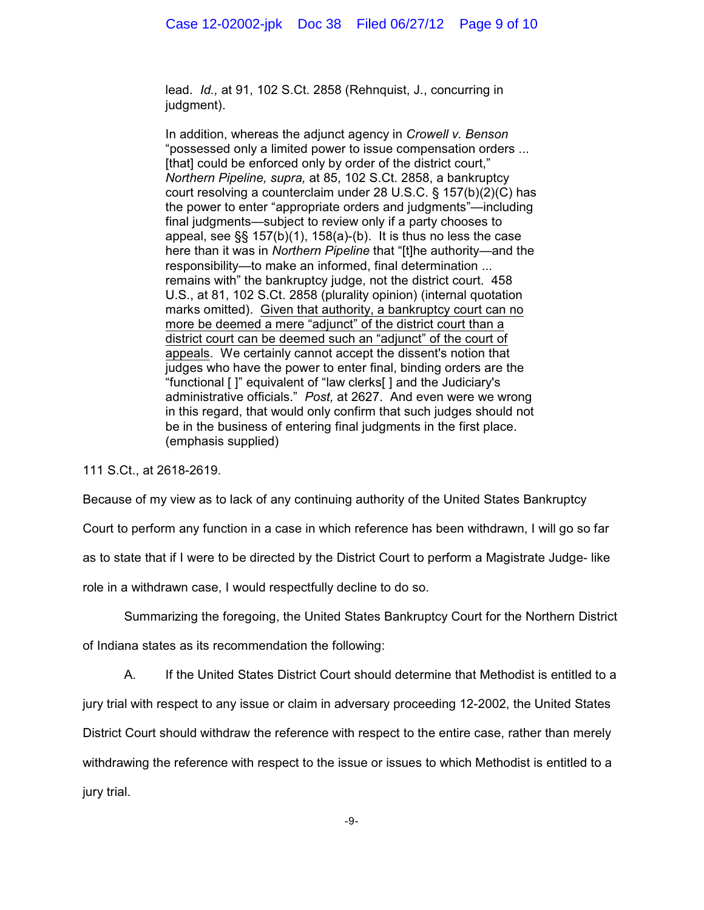lead. *Id.,* at 91, 102 S.Ct. 2858 (Rehnquist, J., concurring in judgment).

In addition, whereas the adjunct agency in *Crowell v. Benson* "possessed only a limited power to issue compensation orders ... [that] could be enforced only by order of the district court," *Northern Pipeline, supra,* at 85, 102 S.Ct. 2858, a bankruptcy court resolving a counterclaim under 28 U.S.C. § 157(b)(2)(C) has the power to enter "appropriate orders and judgments"—including final judgments—subject to review only if a party chooses to appeal, see §§ 157(b)(1), 158(a)-(b). It is thus no less the case here than it was in *Northern Pipeline* that "[t]he authority—and the responsibility—to make an informed, final determination ... remains with" the bankruptcy judge, not the district court. 458 U.S., at 81, 102 S.Ct. 2858 (plurality opinion) (internal quotation marks omitted). Given that authority, a bankruptcy court can no more be deemed a mere "adjunct" of the district court than a district court can be deemed such an "adjunct" of the court of appeals. We certainly cannot accept the dissent's notion that judges who have the power to enter final, binding orders are the "functional [ ]" equivalent of "law clerks[ ] and the Judiciary's administrative officials." *Post,* at 2627. And even were we wrong in this regard, that would only confirm that such judges should not be in the business of entering final judgments in the first place. (emphasis supplied)

111 S.Ct., at 2618-2619.

Because of my view as to lack of any continuing authority of the United States Bankruptcy

Court to perform any function in a case in which reference has been withdrawn, I will go so far

as to state that if I were to be directed by the District Court to perform a Magistrate Judge- like

role in a withdrawn case, I would respectfully decline to do so.

Summarizing the foregoing, the United States Bankruptcy Court for the Northern District

of Indiana states as its recommendation the following:

A. If the United States District Court should determine that Methodist is entitled to a jury trial with respect to any issue or claim in adversary proceeding 12-2002, the United States District Court should withdraw the reference with respect to the entire case, rather than merely withdrawing the reference with respect to the issue or issues to which Methodist is entitled to a jury trial.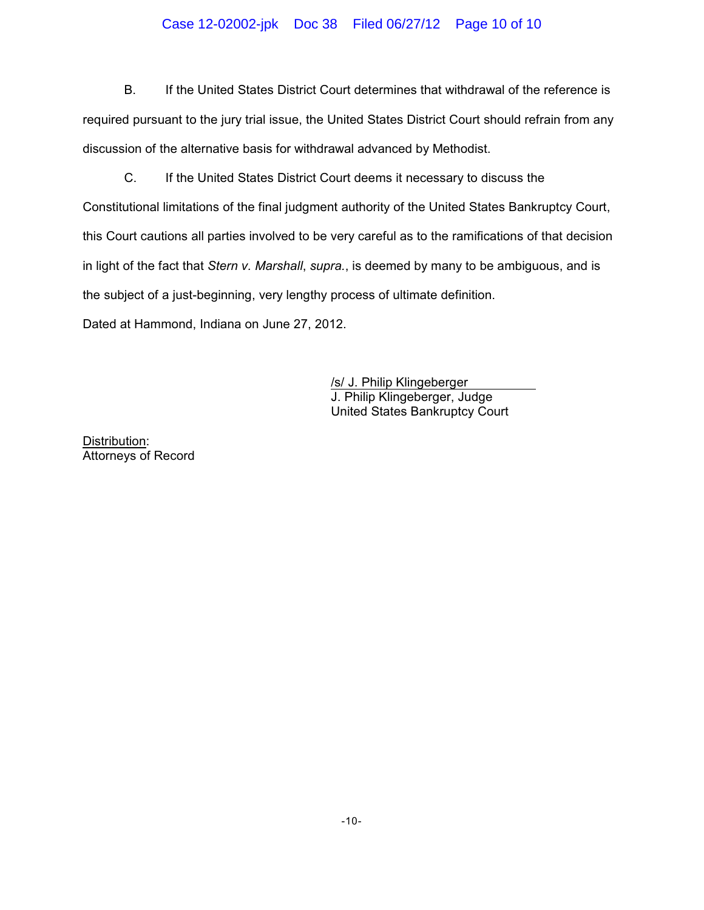# Case 12-02002-jpk Doc 38 Filed 06/27/12 Page 10 of 10

B. If the United States District Court determines that withdrawal of the reference is required pursuant to the jury trial issue, the United States District Court should refrain from any discussion of the alternative basis for withdrawal advanced by Methodist.

C. If the United States District Court deems it necessary to discuss the Constitutional limitations of the final judgment authority of the United States Bankruptcy Court, this Court cautions all parties involved to be very careful as to the ramifications of that decision in light of the fact that *Stern v. Marshall*, *supra.*, is deemed by many to be ambiguous, and is the subject of a just-beginning, very lengthy process of ultimate definition. Dated at Hammond, Indiana on June 27, 2012.

> /s/ J. Philip Klingeberger J. Philip Klingeberger, Judge United States Bankruptcy Court

Distribution: Attorneys of Record